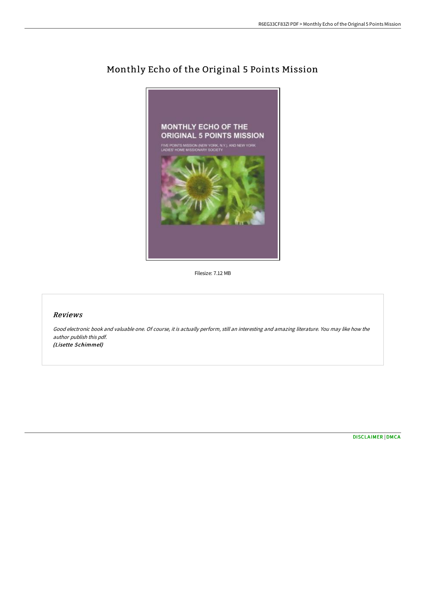

## Monthly Echo of the Original 5 Points Mission

Filesize: 7.12 MB

## Reviews

Good electronic book and valuable one. Of course, it is actually perform, still an interesting and amazing literature. You may like how the author publish this pdf. (Lisette Schimmel)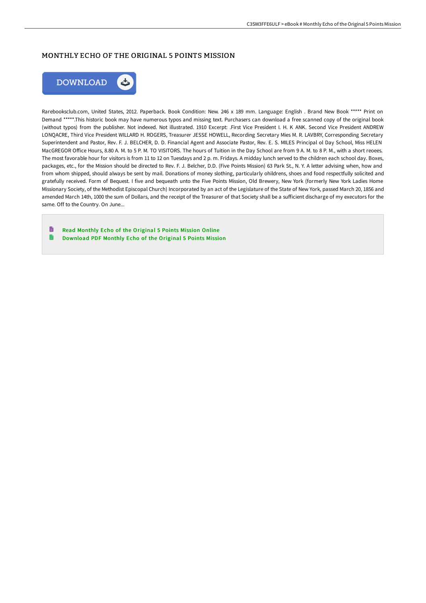## MONTHLY ECHO OF THE ORIGINAL 5 POINTS MISSION



Rarebooksclub.com, United States, 2012. Paperback. Book Condition: New. 246 x 189 mm. Language: English . Brand New Book \*\*\*\*\* Print on Demand \*\*\*\*\*.This historic book may have numerous typos and missing text. Purchasers can download a free scanned copy of the original book (without typos) from the publisher. Not indexed. Not illustrated. 1910 Excerpt: .First Vice President I. H. K ANK. Second Vice President ANDREW LONQACRE, Third Vice President WILLARD H. ROGERS, Treasurer JESSE HOWELL, Recording Secretary Mies M. R. LAVBRY, Corresponding Secretary Superintendent and Pastor, Rev. F. J. BELCHER, D. D. Financial Agent and Associate Pastor, Rev. E. S. MILES Principal ol Day School, Miss HELEN MacGREGOR OFice Hours, 8.80 A. M. to 5 P. M. TO VISITORS. The hours of Tuition in the Day School are from 9 A. M. to 8 P. M., with a short reoees. The most favorable hour for visitors is from 11 to 12 on Tuesdays and 2 p. m. Fridays. A midday lunch served to the children each school day. Boxes, packages, etc., for the Mission should be directed to Rev. F. J. Belcher, D.D. (Five Points Mission) 63 Park St., N. Y. A letter advising when, how and from whom shipped, should always be sent by mail. Donations of money slothing, particularly ohildrens, shoes and food respectfully solicited and gratefully received. Form of Bequest. I five and bequeath unto the Five Points Mission, Old Brewery, New York (formerly New York Ladies Home Missionary Society, of the Methodist Episcopal Church) Incorporated by an act of the Legislature of the State of New York, passed March 20, 1856 and amended March 14th, 1000 the sum of Dollars, and the receipt of the Treasurer of that Society shall be a sufficient discharge of my executors for the same. Off to the Country. On June...

B Read Monthly Echo of the [Original](http://techno-pub.tech/monthly-echo-of-the-original-5-points-mission-pa.html) 5 Points Mission Online G [Download](http://techno-pub.tech/monthly-echo-of-the-original-5-points-mission-pa.html) PDF Monthly Echo of the Original 5 Points Mission